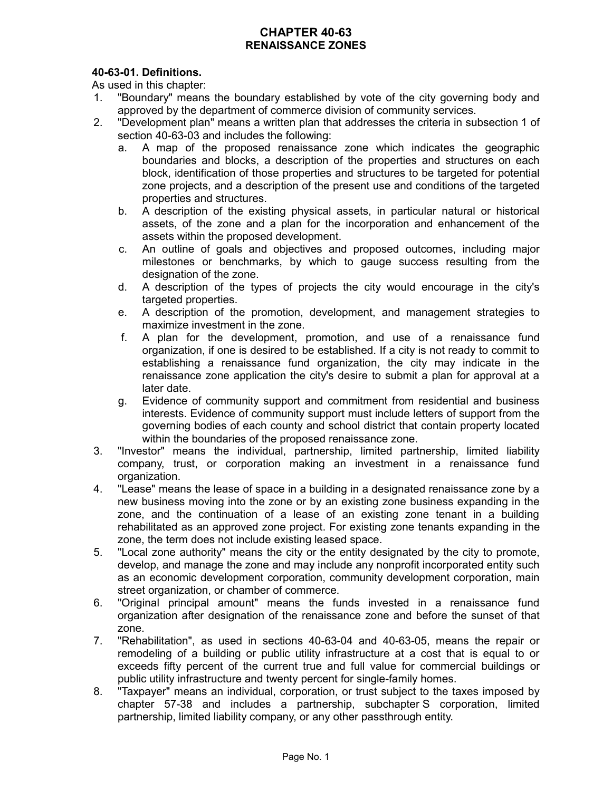# **CHAPTER 40-63 RENAISSANCE ZONES**

# **40-63-01. Definitions.**

As used in this chapter:

- 1. "Boundary" means the boundary established by vote of the city governing body and approved by the department of commerce division of community services.
- 2. "Development plan" means a written plan that addresses the criteria in subsection 1 of section 40-63-03 and includes the following:
	- a. A map of the proposed renaissance zone which indicates the geographic boundaries and blocks, a description of the properties and structures on each block, identification of those properties and structures to be targeted for potential zone projects, and a description of the present use and conditions of the targeted properties and structures.
	- b. A description of the existing physical assets, in particular natural or historical assets, of the zone and a plan for the incorporation and enhancement of the assets within the proposed development.
	- c. An outline of goals and objectives and proposed outcomes, including major milestones or benchmarks, by which to gauge success resulting from the designation of the zone.
	- d. A description of the types of projects the city would encourage in the city's targeted properties.
	- e. A description of the promotion, development, and management strategies to maximize investment in the zone.
	- f. A plan for the development, promotion, and use of a renaissance fund organization, if one is desired to be established. If a city is not ready to commit to establishing a renaissance fund organization, the city may indicate in the renaissance zone application the city's desire to submit a plan for approval at a later date.
	- g. Evidence of community support and commitment from residential and business interests. Evidence of community support must include letters of support from the governing bodies of each county and school district that contain property located within the boundaries of the proposed renaissance zone.
- 3. "Investor" means the individual, partnership, limited partnership, limited liability company, trust, or corporation making an investment in a renaissance fund organization.
- 4. "Lease" means the lease of space in a building in a designated renaissance zone by a new business moving into the zone or by an existing zone business expanding in the zone, and the continuation of a lease of an existing zone tenant in a building rehabilitated as an approved zone project. For existing zone tenants expanding in the zone, the term does not include existing leased space.
- 5. "Local zone authority" means the city or the entity designated by the city to promote, develop, and manage the zone and may include any nonprofit incorporated entity such as an economic development corporation, community development corporation, main street organization, or chamber of commerce.
- 6. "Original principal amount" means the funds invested in a renaissance fund organization after designation of the renaissance zone and before the sunset of that zone.
- 7. "Rehabilitation", as used in sections 40-63-04 and 40-63-05, means the repair or remodeling of a building or public utility infrastructure at a cost that is equal to or exceeds fifty percent of the current true and full value for commercial buildings or public utility infrastructure and twenty percent for single-family homes.
- 8. "Taxpayer" means an individual, corporation, or trust subject to the taxes imposed by chapter 57-38 and includes a partnership, subchapter S corporation, limited partnership, limited liability company, or any other passthrough entity.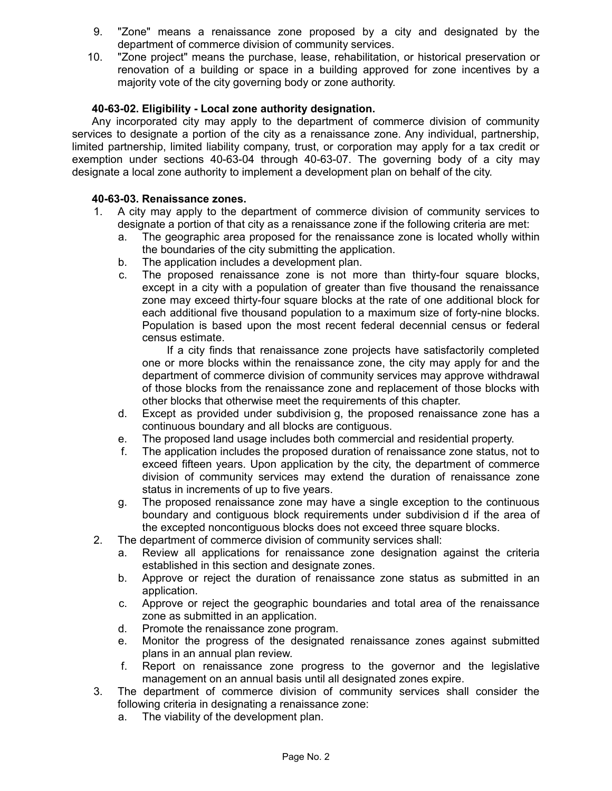- 9. "Zone" means a renaissance zone proposed by a city and designated by the department of commerce division of community services.
- 10. "Zone project" means the purchase, lease, rehabilitation, or historical preservation or renovation of a building or space in a building approved for zone incentives by a majority vote of the city governing body or zone authority.

### **40-63-02. Eligibility - Local zone authority designation.**

Any incorporated city may apply to the department of commerce division of community services to designate a portion of the city as a renaissance zone. Any individual, partnership, limited partnership, limited liability company, trust, or corporation may apply for a tax credit or exemption under sections 40-63-04 through 40-63-07. The governing body of a city may designate a local zone authority to implement a development plan on behalf of the city.

### **40-63-03. Renaissance zones.**

- 1. A city may apply to the department of commerce division of community services to designate a portion of that city as a renaissance zone if the following criteria are met:
	- a. The geographic area proposed for the renaissance zone is located wholly within the boundaries of the city submitting the application.
	- b. The application includes a development plan.
	- c. The proposed renaissance zone is not more than thirty-four square blocks, except in a city with a population of greater than five thousand the renaissance zone may exceed thirty-four square blocks at the rate of one additional block for each additional five thousand population to a maximum size of forty-nine blocks. Population is based upon the most recent federal decennial census or federal census estimate.

If a city finds that renaissance zone projects have satisfactorily completed one or more blocks within the renaissance zone, the city may apply for and the department of commerce division of community services may approve withdrawal of those blocks from the renaissance zone and replacement of those blocks with other blocks that otherwise meet the requirements of this chapter.

- d. Except as provided under subdivision g, the proposed renaissance zone has a continuous boundary and all blocks are contiguous.
- e. The proposed land usage includes both commercial and residential property.
- f. The application includes the proposed duration of renaissance zone status, not to exceed fifteen years. Upon application by the city, the department of commerce division of community services may extend the duration of renaissance zone status in increments of up to five years.
- g. The proposed renaissance zone may have a single exception to the continuous boundary and contiguous block requirements under subdivision d if the area of the excepted noncontiguous blocks does not exceed three square blocks.
- 2. The department of commerce division of community services shall:
	- a. Review all applications for renaissance zone designation against the criteria established in this section and designate zones.
	- b. Approve or reject the duration of renaissance zone status as submitted in an application.
	- c. Approve or reject the geographic boundaries and total area of the renaissance zone as submitted in an application.
	- d. Promote the renaissance zone program.
	- e. Monitor the progress of the designated renaissance zones against submitted plans in an annual plan review.
	- f. Report on renaissance zone progress to the governor and the legislative management on an annual basis until all designated zones expire.
- 3. The department of commerce division of community services shall consider the following criteria in designating a renaissance zone:
	- a. The viability of the development plan.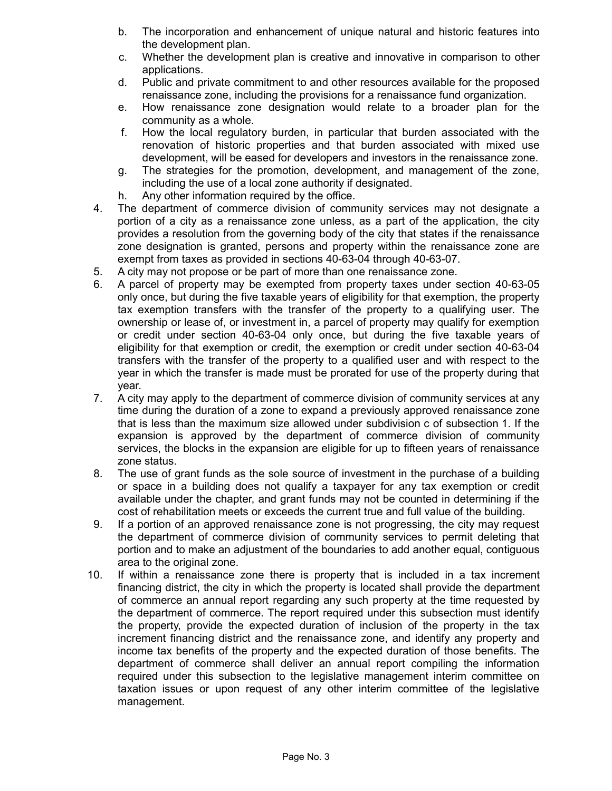- b. The incorporation and enhancement of unique natural and historic features into the development plan.
- c. Whether the development plan is creative and innovative in comparison to other applications.
- d. Public and private commitment to and other resources available for the proposed renaissance zone, including the provisions for a renaissance fund organization.
- e. How renaissance zone designation would relate to a broader plan for the community as a whole.
- f. How the local regulatory burden, in particular that burden associated with the renovation of historic properties and that burden associated with mixed use development, will be eased for developers and investors in the renaissance zone.
- g. The strategies for the promotion, development, and management of the zone, including the use of a local zone authority if designated.
- h. Any other information required by the office.
- 4. The department of commerce division of community services may not designate a portion of a city as a renaissance zone unless, as a part of the application, the city provides a resolution from the governing body of the city that states if the renaissance zone designation is granted, persons and property within the renaissance zone are exempt from taxes as provided in sections 40-63-04 through 40-63-07.
- 5. A city may not propose or be part of more than one renaissance zone.
- 6. A parcel of property may be exempted from property taxes under section 40-63-05 only once, but during the five taxable years of eligibility for that exemption, the property tax exemption transfers with the transfer of the property to a qualifying user. The ownership or lease of, or investment in, a parcel of property may qualify for exemption or credit under section 40-63-04 only once, but during the five taxable years of eligibility for that exemption or credit, the exemption or credit under section 40-63-04 transfers with the transfer of the property to a qualified user and with respect to the year in which the transfer is made must be prorated for use of the property during that year.
- 7. A city may apply to the department of commerce division of community services at any time during the duration of a zone to expand a previously approved renaissance zone that is less than the maximum size allowed under subdivision c of subsection 1. If the expansion is approved by the department of commerce division of community services, the blocks in the expansion are eligible for up to fifteen years of renaissance zone status.
- 8. The use of grant funds as the sole source of investment in the purchase of a building or space in a building does not qualify a taxpayer for any tax exemption or credit available under the chapter, and grant funds may not be counted in determining if the cost of rehabilitation meets or exceeds the current true and full value of the building.
- 9. If a portion of an approved renaissance zone is not progressing, the city may request the department of commerce division of community services to permit deleting that portion and to make an adjustment of the boundaries to add another equal, contiguous area to the original zone.
- 10. If within a renaissance zone there is property that is included in a tax increment financing district, the city in which the property is located shall provide the department of commerce an annual report regarding any such property at the time requested by the department of commerce. The report required under this subsection must identify the property, provide the expected duration of inclusion of the property in the tax increment financing district and the renaissance zone, and identify any property and income tax benefits of the property and the expected duration of those benefits. The department of commerce shall deliver an annual report compiling the information required under this subsection to the legislative management interim committee on taxation issues or upon request of any other interim committee of the legislative management.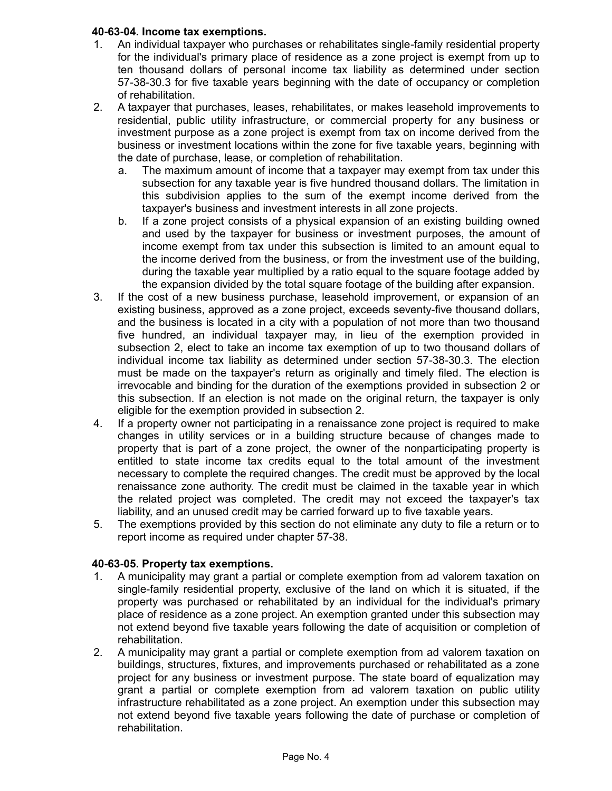# **40-63-04. Income tax exemptions.**

- 1. An individual taxpayer who purchases or rehabilitates single-family residential property for the individual's primary place of residence as a zone project is exempt from up to ten thousand dollars of personal income tax liability as determined under section 57-38-30.3 for five taxable years beginning with the date of occupancy or completion of rehabilitation.
- 2. A taxpayer that purchases, leases, rehabilitates, or makes leasehold improvements to residential, public utility infrastructure, or commercial property for any business or investment purpose as a zone project is exempt from tax on income derived from the business or investment locations within the zone for five taxable years, beginning with the date of purchase, lease, or completion of rehabilitation.
	- a. The maximum amount of income that a taxpayer may exempt from tax under this subsection for any taxable year is five hundred thousand dollars. The limitation in this subdivision applies to the sum of the exempt income derived from the taxpayer's business and investment interests in all zone projects.
	- b. If a zone project consists of a physical expansion of an existing building owned and used by the taxpayer for business or investment purposes, the amount of income exempt from tax under this subsection is limited to an amount equal to the income derived from the business, or from the investment use of the building, during the taxable year multiplied by a ratio equal to the square footage added by the expansion divided by the total square footage of the building after expansion.
- 3. If the cost of a new business purchase, leasehold improvement, or expansion of an existing business, approved as a zone project, exceeds seventy-five thousand dollars, and the business is located in a city with a population of not more than two thousand five hundred, an individual taxpayer may, in lieu of the exemption provided in subsection 2, elect to take an income tax exemption of up to two thousand dollars of individual income tax liability as determined under section 57-38-30.3. The election must be made on the taxpayer's return as originally and timely filed. The election is irrevocable and binding for the duration of the exemptions provided in subsection 2 or this subsection. If an election is not made on the original return, the taxpayer is only eligible for the exemption provided in subsection 2.
- 4. If a property owner not participating in a renaissance zone project is required to make changes in utility services or in a building structure because of changes made to property that is part of a zone project, the owner of the nonparticipating property is entitled to state income tax credits equal to the total amount of the investment necessary to complete the required changes. The credit must be approved by the local renaissance zone authority. The credit must be claimed in the taxable year in which the related project was completed. The credit may not exceed the taxpayer's tax liability, and an unused credit may be carried forward up to five taxable years.
- 5. The exemptions provided by this section do not eliminate any duty to file a return or to report income as required under chapter 57-38.

# **40-63-05. Property tax exemptions.**

- 1. A municipality may grant a partial or complete exemption from ad valorem taxation on single-family residential property, exclusive of the land on which it is situated, if the property was purchased or rehabilitated by an individual for the individual's primary place of residence as a zone project. An exemption granted under this subsection may not extend beyond five taxable years following the date of acquisition or completion of rehabilitation.
- 2. A municipality may grant a partial or complete exemption from ad valorem taxation on buildings, structures, fixtures, and improvements purchased or rehabilitated as a zone project for any business or investment purpose. The state board of equalization may grant a partial or complete exemption from ad valorem taxation on public utility infrastructure rehabilitated as a zone project. An exemption under this subsection may not extend beyond five taxable years following the date of purchase or completion of rehabilitation.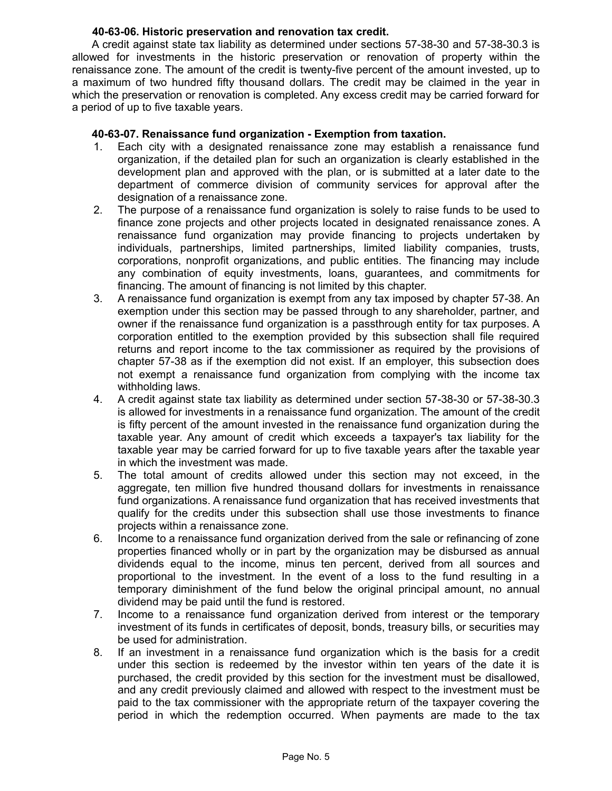### **40-63-06. Historic preservation and renovation tax credit.**

A credit against state tax liability as determined under sections 57-38-30 and 57-38-30.3 is allowed for investments in the historic preservation or renovation of property within the renaissance zone. The amount of the credit is twenty-five percent of the amount invested, up to a maximum of two hundred fifty thousand dollars. The credit may be claimed in the year in which the preservation or renovation is completed. Any excess credit may be carried forward for a period of up to five taxable years.

# **40-63-07. Renaissance fund organization - Exemption from taxation.**

- 1. Each city with a designated renaissance zone may establish a renaissance fund organization, if the detailed plan for such an organization is clearly established in the development plan and approved with the plan, or is submitted at a later date to the department of commerce division of community services for approval after the designation of a renaissance zone.
- 2. The purpose of a renaissance fund organization is solely to raise funds to be used to finance zone projects and other projects located in designated renaissance zones. A renaissance fund organization may provide financing to projects undertaken by individuals, partnerships, limited partnerships, limited liability companies, trusts, corporations, nonprofit organizations, and public entities. The financing may include any combination of equity investments, loans, guarantees, and commitments for financing. The amount of financing is not limited by this chapter.
- 3. A renaissance fund organization is exempt from any tax imposed by chapter 57-38. An exemption under this section may be passed through to any shareholder, partner, and owner if the renaissance fund organization is a passthrough entity for tax purposes. A corporation entitled to the exemption provided by this subsection shall file required returns and report income to the tax commissioner as required by the provisions of chapter 57-38 as if the exemption did not exist. If an employer, this subsection does not exempt a renaissance fund organization from complying with the income tax withholding laws.
- 4. A credit against state tax liability as determined under section 57-38-30 or 57-38-30.3 is allowed for investments in a renaissance fund organization. The amount of the credit is fifty percent of the amount invested in the renaissance fund organization during the taxable year. Any amount of credit which exceeds a taxpayer's tax liability for the taxable year may be carried forward for up to five taxable years after the taxable year in which the investment was made.
- 5. The total amount of credits allowed under this section may not exceed, in the aggregate, ten million five hundred thousand dollars for investments in renaissance fund organizations. A renaissance fund organization that has received investments that qualify for the credits under this subsection shall use those investments to finance projects within a renaissance zone.
- 6. Income to a renaissance fund organization derived from the sale or refinancing of zone properties financed wholly or in part by the organization may be disbursed as annual dividends equal to the income, minus ten percent, derived from all sources and proportional to the investment. In the event of a loss to the fund resulting in a temporary diminishment of the fund below the original principal amount, no annual dividend may be paid until the fund is restored.
- 7. Income to a renaissance fund organization derived from interest or the temporary investment of its funds in certificates of deposit, bonds, treasury bills, or securities may be used for administration.
- 8. If an investment in a renaissance fund organization which is the basis for a credit under this section is redeemed by the investor within ten years of the date it is purchased, the credit provided by this section for the investment must be disallowed, and any credit previously claimed and allowed with respect to the investment must be paid to the tax commissioner with the appropriate return of the taxpayer covering the period in which the redemption occurred. When payments are made to the tax